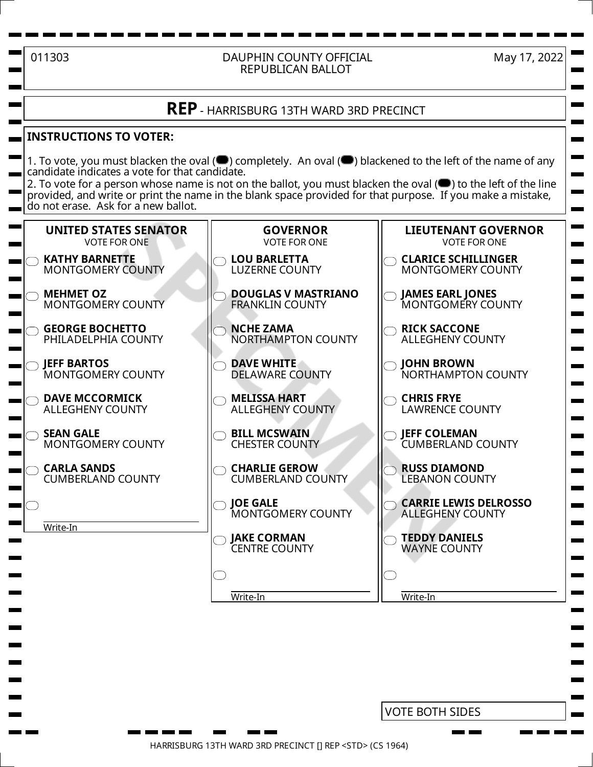## 011303 DAUPHIN COUNTY OFFICIAL REPUBLICAN BALLOT

May 17, 2022

## **REP**- HARRISBURG 13TH WARD 3RD PRECINCT

## **INSTRUCTIONS TO VOTER:**

1. To vote, you must blacken the oval (C) completely. An oval (C) blackened to the left of the name of any candidate indicates a vote for that candidate.

2. To vote for a person whose name is not on the ballot, you must blacken the oval  $($ **)** to the left of the line provided, and write or print the name in the blank space provided for that purpose. If you make a mistake, .<br>do not erase. Ask for a new ballot.